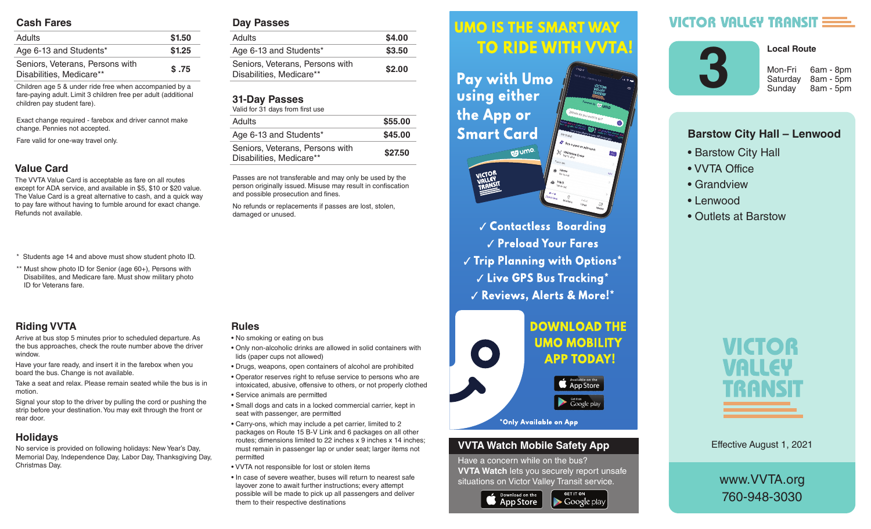#### **Cash Fares**

| <b>Adults</b>                                               | \$1.50 |
|-------------------------------------------------------------|--------|
| Age 6-13 and Students*                                      | \$1.25 |
| Seniors, Veterans, Persons with<br>Disabilities, Medicare** | \$.75  |

Children age 5 & under ride free when accompanied by a fare-paying adult. Limit 3 children free per adult (additional children pay student fare).

Exact change required - farebox and driver cannot make change. Pennies not accepted.

Fare valid for one-way travel only.

#### **Value Card**

The VVTA Value Card is acceptable as fare on all routes except for ADA service, and available in \$5, \$10 or \$20 value. The Value Card is a great alternative to cash, and a quick way to pay fare without having to fumble around for exact change. Refunds not available.

- \* Students age 14 and above must show student photo ID.
- \*\* Must show photo ID for Senior (age 60+), Persons with Disabilites, and Medicare fare. Must show military photo ID for Veterans fare.

## **Riding VVTA**

Arrive at bus stop 5 minutes prior to scheduled departure. As the bus approaches, check the route number above the driver window.

Have your fare ready, and insert it in the farebox when you board the bus. Change is not available.

Take a seat and relax. Please remain seated while the bus is in motion.

Signal your stop to the driver by pulling the cord or pushing the strip before your destination. You may exit through the front or rear door.

## **Holidays**

No service is provided on following holidays: New Year's Day, Memorial Day, Independence Day, Labor Day, Thanksgiving Day, Christmas Day.

#### **Day Passes**

| Adults                                                      | \$4.00 |
|-------------------------------------------------------------|--------|
| Age 6-13 and Students*                                      | \$3.50 |
| Seniors, Veterans, Persons with<br>Disabilities, Medicare** | \$2.00 |
|                                                             |        |

#### **31-Day Passes**

| Valid for 31 days from first use                            |         |
|-------------------------------------------------------------|---------|
| <b>Adults</b>                                               | \$55.00 |
| Age 6-13 and Students*                                      | \$45.00 |
| Seniors, Veterans, Persons with<br>Disabilities, Medicare** | \$27.50 |

Passes are not transferable and may only be used by the person originally issued. Misuse may result in confiscation and possible prosecution and fines.

No refunds or replacements if passes are lost, stolen, damaged or unused.

#### **Rules**

- No smoking or eating on bus
- Only non-alcoholic drinks are allowed in solid containers with lids (paper cups not allowed)
- Drugs, weapons, open containers of alcohol are prohibited
- Operator reserves right to refuse service to persons who are intoxicated, abusive, offensive to others, or not properly clothed
- Service animals are permitted
- Small dogs and cats in a locked commercial carrier, kept in seat with passenger, are permitted
- Carry-ons, which may include a pet carrier, limited to 2 packages on Route 15 B-V Link and 6 packages on all other routes; dimensions limited to 22 inches x 9 inches x 14 inches; must remain in passenger lap or under seat; larger items not permitted
- VVTA not responsible for lost or stolen items
- In case of severe weather, buses will return to nearest safe layover zone to await further instructions; every attempt possible will be made to pick up all passengers and deliver them to their respective destinations

#### **UMO IS THE SMART WAY** Arrive at bus stop 5 minutes prior to scheduled departure. As the bus approximation of the bus approximation of the bus approximation of the bus approximation route number above the driver window.

 $\mathbf{h}$  , and it is instructed in the farebox insert in the farebox  $\mathbf{h}$ **Fay with UMO AND SOLUTE:** Using either the bus is in motion.  $\mathbf{S}$  since the driver by pulling the driver by pulling the cord or  $\mathbf{S}$ **Smart Card** exit through the front or real documents of the front or real documents of the front or real documents of the front or real documents of the front or real documents of the front or real documents of the front or real docum



**Contactless Boarding**  $\sqrt{\frac{P_{\text{rel}}}{P_{\text{rad}}}}$  Preload Your Fares  $\parallel$   $\parallel$   $\parallel$  rip rignning with Uptions  $\parallel$  $\sim$   $\sim$   $\sim$   $\sim$  CPS Rus Tracking  $^{\star}$ are intoxicated, abusive, offensive to others, or not properly V Reviews, Alerts & More!\*



#### **VVTA Watch Mobile Safety App**

Have a concern while on the bus? **VVTA Watch** lets you securely report unsafe situations on Victor Valley Transit service.

**GET IT ON** 

 $\blacktriangleright$  Google play



# **VICTOR VALLEY TRANSIT E**



**Local Route** 

Saturday 8am - 5pm Sunday 8am - 5pm

### **Barstow City Hall – Lenwood**

- Barstow City Hall
- VVTA Office
- Grandview
- Lenwood
- Outlets at Barstow



Effective August 1, 2021

www.VVTA.org 760-948-3030